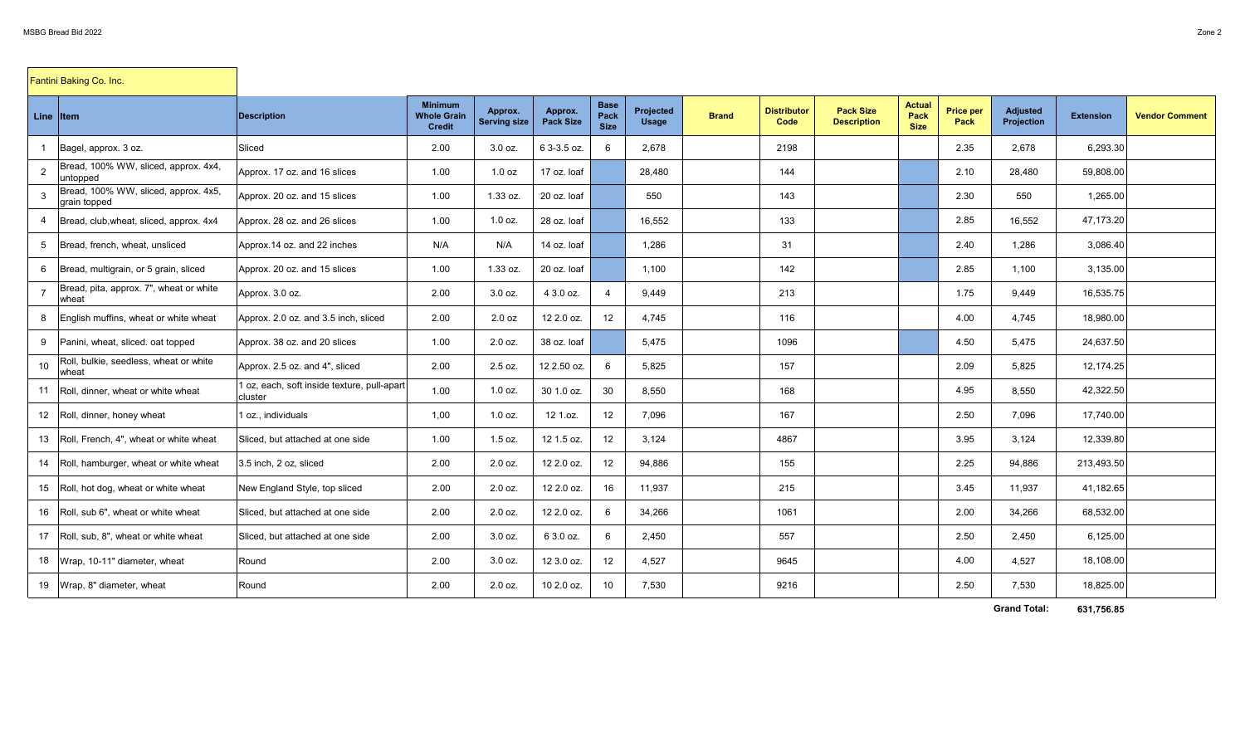| Fantini Baking Co. Inc. |                                                      |                                                        |                                                       |                                |                             |                                    |                           |              |                            |                                        |                                      |                          |                                      |                  |                       |
|-------------------------|------------------------------------------------------|--------------------------------------------------------|-------------------------------------------------------|--------------------------------|-----------------------------|------------------------------------|---------------------------|--------------|----------------------------|----------------------------------------|--------------------------------------|--------------------------|--------------------------------------|------------------|-----------------------|
| Line Item               |                                                      | <b>Description</b>                                     | <b>Minimum</b><br><b>Whole Grain</b><br><b>Credit</b> | Approx.<br><b>Serving size</b> | Approx.<br><b>Pack Size</b> | <b>Base</b><br>Pack<br><b>Size</b> | Projected<br><b>Usage</b> | <b>Brand</b> | <b>Distributor</b><br>Code | <b>Pack Size</b><br><b>Description</b> | <b>Actual</b><br>Pack<br><b>Size</b> | <b>Price per</b><br>Pack | <b>Adjusted</b><br><b>Projection</b> | <b>Extension</b> | <b>Vendor Comment</b> |
|                         | Bagel, approx. 3 oz.                                 | Sliced                                                 | 2.00                                                  | $3.0$ oz.                      | 6 3-3.5 oz.                 | 6                                  | 2,678                     |              | 2198                       |                                        |                                      | 2.35                     | 2.678                                | 6,293.30         |                       |
| $\overline{2}$          | Bread, 100% WW, sliced, approx. 4x4,<br>untopped     | Approx. 17 oz. and 16 slices                           | 1.00                                                  | 1.0 oz                         | 17 oz. loaf                 |                                    | 28,480                    |              | 144                        |                                        |                                      | 2.10                     | 28,480                               | 59,808.00        |                       |
|                         | Bread, 100% WW, sliced, approx. 4x5,<br>grain topped | Approx. 20 oz. and 15 slices                           | 1.00                                                  | 1.33 oz.                       | 20 oz. loaf                 |                                    | 550                       |              | 143                        |                                        |                                      | 2.30                     | 550                                  | 1,265.00         |                       |
| 4                       | Bread, club, wheat, sliced, approx. 4x4              | Approx. 28 oz. and 26 slices                           | 1.00                                                  | $1.0$ oz.                      | 28 oz. loaf                 |                                    | 16,552                    |              | 133                        |                                        |                                      | 2.85                     | 16,552                               | 47,173.20        |                       |
| 5                       | Bread, french, wheat, unsliced                       | Approx.14 oz. and 22 inches                            | N/A                                                   | N/A                            | 14 oz. loaf                 |                                    | 1,286                     |              | 31                         |                                        |                                      | 2.40                     | 1,286                                | 3,086.40         |                       |
| 6                       | Bread, multigrain, or 5 grain, sliced                | Approx. 20 oz. and 15 slices                           | 1.00                                                  | 1.33 oz.                       | 20 oz. loaf                 |                                    | 1.100                     |              | 142                        |                                        |                                      | 2.85                     | 1.100                                | 3,135.00         |                       |
| $\overline{7}$          | Bread, pita, approx. 7", wheat or white<br>wheat     | Approx. 3.0 oz.                                        | 2.00                                                  | 3.0 oz.                        | 4 3.0 oz.                   | $\boldsymbol{\Delta}$              | 9,449                     |              | 213                        |                                        |                                      | 1.75                     | 9.449                                | 16,535.75        |                       |
| 8                       | English muffins, wheat or white wheat                | Approx. 2.0 oz. and 3.5 inch, sliced                   | 2.00                                                  | 2.0 oz                         | 12 2.0 oz.                  | 12                                 | 4,745                     |              | 116                        |                                        |                                      | 4.00                     | 4,745                                | 18,980.00        |                       |
| 9                       | Panini, wheat, sliced, oat topped                    | Approx. 38 oz. and 20 slices                           | 1.00                                                  | 2.0 oz.                        | 38 oz. loaf                 |                                    | 5,475                     |              | 1096                       |                                        |                                      | 4.50                     | 5,475                                | 24,637.50        |                       |
| 10 <sup>1</sup>         | Roll, bulkie, seedless, wheat or white<br>wheat      | Approx. 2.5 oz. and 4", sliced                         | 2.00                                                  | 2.5 oz.                        | 12 2.50 oz.                 | 6                                  | 5,825                     |              | 157                        |                                        |                                      | 2.09                     | 5,825                                | 12,174.25        |                       |
| 11                      | Roll, dinner, wheat or white wheat                   | 1 oz, each, soft inside texture, pull-apart<br>cluster | 1.00                                                  | $1.0$ oz.                      | 30 1.0 oz.                  | 30                                 | 8,550                     |              | 168                        |                                        |                                      | 4.95                     | 8,550                                | 42,322.50        |                       |
| 12                      | Roll, dinner, honey wheat                            | 1 oz., individuals                                     | 1,00                                                  | $1.0$ oz.                      | 12 1.oz.                    | 12                                 | 7,096                     |              | 167                        |                                        |                                      | 2.50                     | 7,096                                | 17,740.00        |                       |
| 13                      | Roll. French. 4", wheat or white wheat               | Sliced, but attached at one side                       | 1.00                                                  | 1.5 oz.                        | 12 1.5 oz.                  | 12                                 | 3,124                     |              | 4867                       |                                        |                                      | 3.95                     | 3,124                                | 12,339.80        |                       |
| 14                      | Roll, hamburger, wheat or white wheat                | 3.5 inch, 2 oz, sliced                                 | 2.00                                                  | 2.0 oz.                        | 12 2.0 oz.                  | 12                                 | 94,886                    |              | 155                        |                                        |                                      | 2.25                     | 94,886                               | 213,493.50       |                       |
| 15                      | Roll, hot dog, wheat or white wheat                  | New England Style, top sliced                          | 2.00                                                  | $2.0$ oz.                      | 12 2.0 oz.                  | 16                                 | 11,937                    |              | 215                        |                                        |                                      | 3.45                     | 11,937                               | 41,182.65        |                       |
| 16                      | Roll, sub 6", wheat or white wheat                   | Sliced, but attached at one side                       | 2.00                                                  | 2.0 oz.                        | 12 2.0 oz.                  | 6                                  | 34,266                    |              | 1061                       |                                        |                                      | 2.00                     | 34,266                               | 68,532.00        |                       |
| 17                      | Roll, sub. 8", wheat or white wheat                  | Sliced, but attached at one side                       | 2.00                                                  | 3.0 oz.                        | 6 3.0 oz.                   | 6                                  | 2,450                     |              | 557                        |                                        |                                      | 2.50                     | 2,450                                | 6,125.00         |                       |
| 18                      | Wrap, 10-11" diameter, wheat                         | Round                                                  | 2.00                                                  | $3.0$ oz.                      | 12 3.0 oz.                  | 12                                 | 4,527                     |              | 9645                       |                                        |                                      | 4.00                     | 4,527                                | 18,108.00        |                       |
| 19                      | Wrap, 8" diameter, wheat                             | Round                                                  | 2.00                                                  | 2.0 oz.                        | 10 2.0 oz.                  | 10                                 | 7,530                     |              | 9216                       |                                        |                                      | 2.50                     | 7,530                                | 18,825.00        |                       |

**631,756.85 Grand Total:**